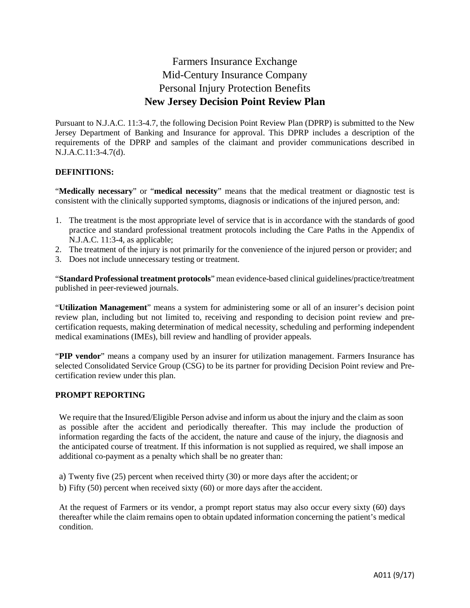# Farmers Insurance Exchange Mid-Century Insurance Company Personal Injury Protection Benefits **New Jersey Decision Point Review Plan**

Pursuant to N.J.A.C. 11:3-4.7, the following Decision Point Review Plan (DPRP) is submitted to the New Jersey Department of Banking and Insurance for approval. This DPRP includes a description of the requirements of the DPRP and samples of the claimant and provider communications described in N.J.A.C.11:3-4.7(d).

## **DEFINITIONS:**

"**Medically necessary**" or "**medical necessity**" means that the medical treatment or diagnostic test is consistent with the clinically supported symptoms, diagnosis or indications of the injured person, and:

- 1. The treatment is the most appropriate level of service that is in accordance with the standards of good practice and standard professional treatment protocols including the Care Paths in the Appendix of N.J.A.C. 11:3-4, as applicable;
- 2. The treatment of the injury is not primarily for the convenience of the injured person or provider; and
- 3. Does not include unnecessary testing or treatment.

"**Standard Professional treatment protocols**" mean evidence-based clinical guidelines/practice/treatment published in peer-reviewed journals.

"**Utilization Management**" means a system for administering some or all of an insurer's decision point review plan, including but not limited to, receiving and responding to decision point review and precertification requests, making determination of medical necessity, scheduling and performing independent medical examinations (IMEs), bill review and handling of provider appeals.

"**PIP vendor**" means a company used by an insurer for utilization management. Farmers Insurance has selected Consolidated Service Group (CSG) to be its partner for providing Decision Point review and Precertification review under this plan.

#### **PROMPT REPORTING**

We require that the Insured/Eligible Person advise and inform us about the injury and the claim as soon as possible after the accident and periodically thereafter. This may include the production of information regarding the facts of the accident, the nature and cause of the injury, the diagnosis and the anticipated course of treatment. If this information is not supplied as required, we shall impose an additional co-payment as a penalty which shall be no greater than:

a) Twenty five (25) percent when received thirty (30) or more days after the accident; or b) Fifty (50) percent when received sixty (60) or more days after the accident.

At the request of Farmers or its vendor, a prompt report status may also occur every sixty (60) days thereafter while the claim remains open to obtain updated information concerning the patient's medical condition.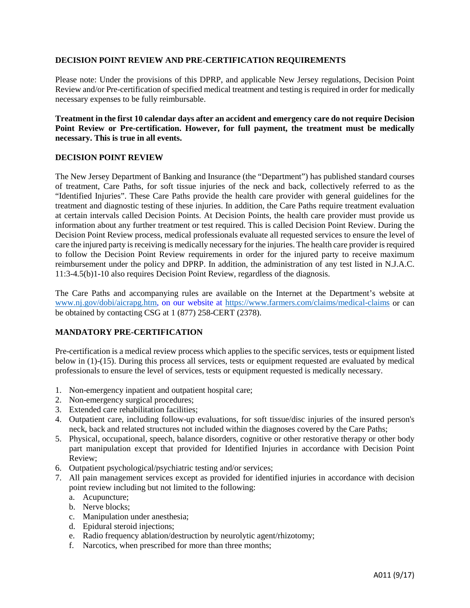#### **DECISION POINT REVIEW AND PRE-CERTIFICATION REQUIREMENTS**

Please note: Under the provisions of this DPRP, and applicable New Jersey regulations, Decision Point Review and/or Pre-certification of specified medical treatment and testing is required in order for medically necessary expenses to be fully reimbursable.

**Treatment in the first 10 calendar days after an accident and emergency care do not require Decision Point Review or Pre-certification. However, for full payment, the treatment must be medically necessary. This is true in all events.**

#### **DECISION POINT REVIEW**

The New Jersey Department of Banking and Insurance (the "Department") has published standard courses of treatment, Care Paths, for soft tissue injuries of the neck and back, collectively referred to as the "Identified Injuries". These Care Paths provide the health care provider with general guidelines for the treatment and diagnostic testing of these injuries. In addition, the Care Paths require treatment evaluation at certain intervals called Decision Points. At Decision Points, the health care provider must provide us information about any further treatment or test required. This is called Decision Point Review. During the Decision Point Review process, medical professionals evaluate all requested services to ensure the level of care the injured party is receiving is medically necessary for the injuries. The health care provider is required to follow the Decision Point Review requirements in order for the injured party to receive maximum reimbursement under the policy and DPRP. In addition, the administration of any test listed in N.J.A.C. 11:3-4.5(b)1-10 also requires Decision Point Review, regardless of the diagnosis.

The Care Paths and accompanying rules are available on the Internet at the Department's website at [www.nj.gov/dobi/aicrapg.htm,](http://www.nj.gov/dobi/aicrapg.htm) on our website at<https://www.farmers.com/claims/medical-claims> or can be obtained by contacting CSG at 1 (877) 258-CERT (2378).

## **MANDATORY PRE-CERTIFICATION**

Pre-certification is a medical review process which applies to the specific services, tests or equipment listed below in (1)-(15). During this process all services, tests or equipment requested are evaluated by medical professionals to ensure the level of services, tests or equipment requested is medically necessary.

- 1. Non-emergency inpatient and outpatient hospital care;
- 2. Non-emergency surgical procedures;
- 3. Extended care rehabilitation facilities;
- 4. Outpatient care, including follow-up evaluations, for soft tissue/disc injuries of the insured person's neck, back and related structures not included within the diagnoses covered by the Care Paths;
- 5. Physical, occupational, speech, balance disorders, cognitive or other restorative therapy or other body part manipulation except that provided for Identified Injuries in accordance with Decision Point Review;
- 6. Outpatient psychological/psychiatric testing and/or services;
- 7. All pain management services except as provided for identified injuries in accordance with decision point review including but not limited to the following:
	- a. Acupuncture;
	- b. Nerve blocks;
	- c. Manipulation under anesthesia;
	- d. Epidural steroid injections;
	- e. Radio frequency ablation/destruction by neurolytic agent/rhizotomy;
	- f. Narcotics, when prescribed for more than three months;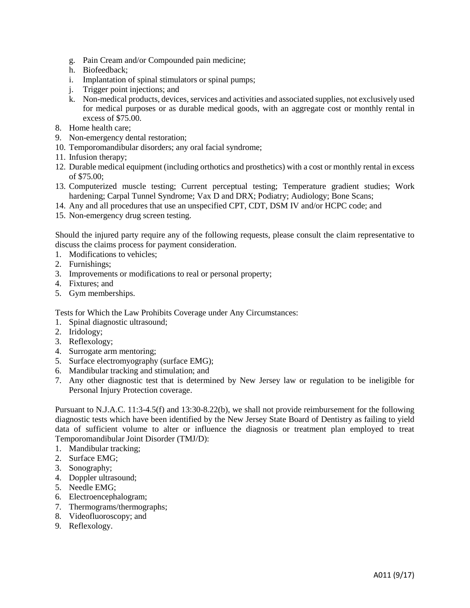- g. Pain Cream and/or Compounded pain medicine;
- h. Biofeedback;
- i. Implantation of spinal stimulators or spinal pumps;
- j. Trigger point injections; and
- k. Non-medical products, devices, services and activities and associated supplies, not exclusively used for medical purposes or as durable medical goods, with an aggregate cost or monthly rental in excess of \$75.00.
- 8. Home health care;
- 9. Non-emergency dental restoration;
- 10. Temporomandibular disorders; any oral facial syndrome;
- 11. Infusion therapy;
- 12. Durable medical equipment (including orthotics and prosthetics) with a cost or monthly rental in excess of \$75.00;
- 13. Computerized muscle testing; Current perceptual testing; Temperature gradient studies; Work hardening; Carpal Tunnel Syndrome; Vax D and DRX; Podiatry; Audiology; Bone Scans;
- 14. Any and all procedures that use an unspecified CPT, CDT, DSM IV and/or HCPC code; and
- 15. Non-emergency drug screen testing.

Should the injured party require any of the following requests, please consult the claim representative to discuss the claims process for payment consideration.

- 1. Modifications to vehicles;
- 2. Furnishings;
- 3. Improvements or modifications to real or personal property;
- 4. Fixtures; and
- 5. Gym memberships.

Tests for Which the Law Prohibits Coverage under Any Circumstances:

- 1. Spinal diagnostic ultrasound;
- 2. Iridology;
- 3. Reflexology;
- 4. Surrogate arm mentoring;
- 5. Surface electromyography (surface EMG);
- 6. Mandibular tracking and stimulation; and
- 7. Any other diagnostic test that is determined by New Jersey law or regulation to be ineligible for Personal Injury Protection coverage.

Pursuant to N.J.A.C. 11:3-4.5(f) and 13:30-8.22(b), we shall not provide reimbursement for the following diagnostic tests which have been identified by the New Jersey State Board of Dentistry as failing to yield data of sufficient volume to alter or influence the diagnosis or treatment plan employed to treat Temporomandibular Joint Disorder (TMJ/D):

- 1. Mandibular tracking;
- 2. Surface EMG;
- 3. Sonography;
- 4. Doppler ultrasound;
- 5. Needle EMG;
- 6. Electroencephalogram;
- 7. Thermograms/thermographs;
- 8. Videofluoroscopy; and
- 9. Reflexology.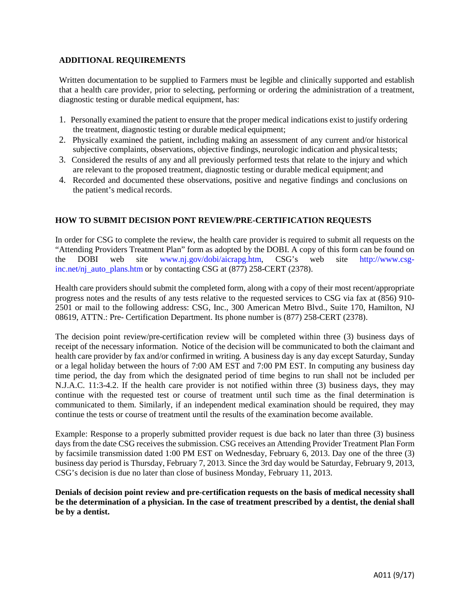## **ADDITIONAL REQUIREMENTS**

Written documentation to be supplied to Farmers must be legible and clinically supported and establish that a health care provider, prior to selecting, performing or ordering the administration of a treatment, diagnostic testing or durable medical equipment, has:

- 1. Personally examined the patient to ensure that the proper medical indications exist to justify ordering the treatment, diagnostic testing or durable medical equipment;
- 2. Physically examined the patient, including making an assessment of any current and/or historical subjective complaints, observations, objective findings, neurologic indication and physical tests;
- 3. Considered the results of any and all previously performed tests that relate to the injury and which are relevant to the proposed treatment, diagnostic testing or durable medical equipment; and
- 4. Recorded and documented these observations, positive and negative findings and conclusions on the patient's medical records.

#### **HOW TO SUBMIT DECISION PONT REVIEW/PRE-CERTIFICATION REQUESTS**

In order for CSG to complete the review, the health care provider is required to submit all requests on the "Attending Providers Treatment Plan" form as adopted by the DOBI. A copy of this form can be found on the DOBI web site www.nj.gov/dobi/aicrapg.htm, CSG's web site http://www.csginc.net/nj\_auto\_plans.htm or by contacting CSG at (877) 258-CERT (2378).

Health care providers should submit the completed form, along with a copy of their most recent/appropriate progress notes and the results of any tests relative to the requested services to CSG via fax at (856) 910- 2501 or mail to the following address: CSG, Inc., 300 American Metro Blvd., Suite 170, Hamilton, NJ 08619, ATTN.: Pre- Certification Department. Its phone number is (877) 258-CERT (2378).

The decision point review/pre-certification review will be completed within three (3) business days of receipt of the necessary information. Notice of the decision will be communicated to both the claimant and health care provider by fax and/or confirmed in writing. A business day is any day except Saturday, Sunday or a legal holiday between the hours of 7:00 AM EST and 7:00 PM EST. In computing any business day time period, the day from which the designated period of time begins to run shall not be included per N.J.A.C. 11:3-4.2. If the health care provider is not notified within three (3) business days, they may continue with the requested test or course of treatment until such time as the final determination is communicated to them. Similarly, if an independent medical examination should be required, they may continue the tests or course of treatment until the results of the examination become available.

Example: Response to a properly submitted provider request is due back no later than three (3) business days from the date CSG receives the submission. CSG receives an Attending Provider Treatment Plan Form by facsimile transmission dated 1:00 PM EST on Wednesday, February 6, 2013. Day one of the three (3) business day period is Thursday, February 7, 2013. Since the 3rd day would be Saturday, February 9, 2013, CSG's decision is due no later than close of business Monday, February 11, 2013.

**Denials of decision point review and pre-certification requests on the basis of medical necessity shall be the determination of a physician. In the case of treatment prescribed by a dentist, the denial shall be by a dentist.**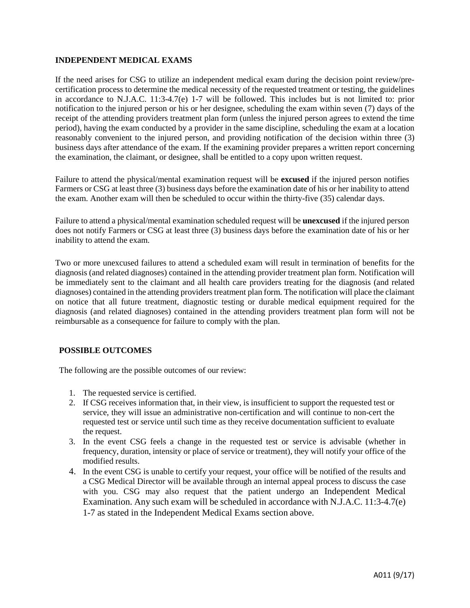## **INDEPENDENT MEDICAL EXAMS**

If the need arises for CSG to utilize an independent medical exam during the decision point review/precertification process to determine the medical necessity of the requested treatment or testing, the guidelines in accordance to N.J.A.C. 11:3-4.7(e) 1-7 will be followed. This includes but is not limited to: prior notification to the injured person or his or her designee, scheduling the exam within seven (7) days of the receipt of the attending providers treatment plan form (unless the injured person agrees to extend the time period), having the exam conducted by a provider in the same discipline, scheduling the exam at a location reasonably convenient to the injured person, and providing notification of the decision within three (3) business days after attendance of the exam. If the examining provider prepares a written report concerning the examination, the claimant, or designee, shall be entitled to a copy upon written request.

Failure to attend the physical/mental examination request will be **excused** if the injured person notifies Farmers or CSG at least three (3) business days before the examination date of his or her inability to attend the exam. Another exam will then be scheduled to occur within the thirty-five (35) calendar days.

Failure to attend a physical/mental examination scheduled request will be **unexcused** if the injured person does not notify Farmers or CSG at least three (3) business days before the examination date of his or her inability to attend the exam.

Two or more unexcused failures to attend a scheduled exam will result in termination of benefits for the diagnosis (and related diagnoses) contained in the attending provider treatment plan form. Notification will be immediately sent to the claimant and all health care providers treating for the diagnosis (and related diagnoses) contained in the attending providers treatment plan form. The notification will place the claimant on notice that all future treatment, diagnostic testing or durable medical equipment required for the diagnosis (and related diagnoses) contained in the attending providers treatment plan form will not be reimbursable as a consequence for failure to comply with the plan.

# **POSSIBLE OUTCOMES**

The following are the possible outcomes of our review:

- 1. The requested service is certified.
- 2. If CSG receives information that, in their view, is insufficient to support the requested test or service, they will issue an administrative non-certification and will continue to non-cert the requested test or service until such time as they receive documentation sufficient to evaluate the request.
- 3. In the event CSG feels a change in the requested test or service is advisable (whether in frequency, duration, intensity or place of service or treatment), they will notify your office of the modified results.
- 4. In the event CSG is unable to certify your request, your office will be notified of the results and a CSG Medical Director will be available through an internal appeal process to discuss the case with you. CSG may also request that the patient undergo an Independent Medical Examination. Any such exam will be scheduled in accordance with N.J.A.C. 11:3-4.7(e) 1-7 as stated in the Independent Medical Exams section above.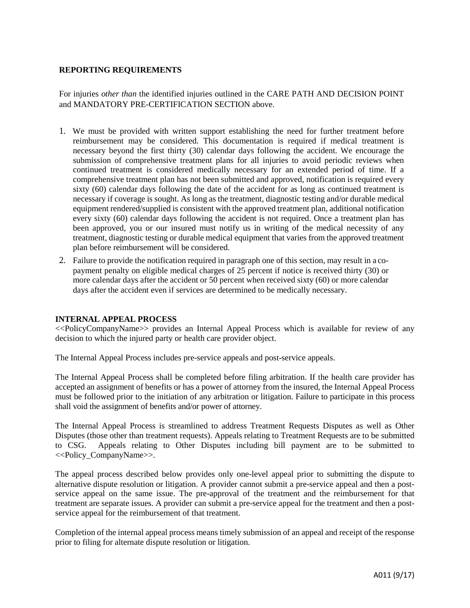## **REPORTING REQUIREMENTS**

For injuries *other than* the identified injuries outlined in the CARE PATH AND DECISION POINT and MANDATORY PRE-CERTIFICATION SECTION above.

- 1. We must be provided with written support establishing the need for further treatment before reimbursement may be considered. This documentation is required if medical treatment is necessary beyond the first thirty (30) calendar days following the accident. We encourage the submission of comprehensive treatment plans for all injuries to avoid periodic reviews when continued treatment is considered medically necessary for an extended period of time. If a comprehensive treatment plan has not been submitted and approved, notification is required every sixty (60) calendar days following the date of the accident for as long as continued treatment is necessary if coverage is sought. As long as the treatment, diagnostic testing and/or durable medical equipment rendered/supplied is consistent with the approved treatment plan, additional notification every sixty (60) calendar days following the accident is not required. Once a treatment plan has been approved, you or our insured must notify us in writing of the medical necessity of any treatment, diagnostic testing or durable medical equipment that varies from the approved treatment plan before reimbursement will be considered.
- 2. Failure to provide the notification required in paragraph one of this section, may result in a copayment penalty on eligible medical charges of 25 percent if notice is received thirty (30) or more calendar days after the accident or 50 percent when received sixty (60) or more calendar days after the accident even if services are determined to be medically necessary.

## **INTERNAL APPEAL PROCESS**

<<PolicyCompanyName>> provides an Internal Appeal Process which is available for review of any decision to which the injured party or health care provider object.

The Internal Appeal Process includes pre-service appeals and post-service appeals.

The Internal Appeal Process shall be completed before filing arbitration. If the health care provider has accepted an assignment of benefits or has a power of attorney from the insured, the Internal Appeal Process must be followed prior to the initiation of any arbitration or litigation. Failure to participate in this process shall void the assignment of benefits and/or power of attorney.

The Internal Appeal Process is streamlined to address Treatment Requests Disputes as well as Other Disputes (those other than treatment requests). Appeals relating to Treatment Requests are to be submitted to CSG. Appeals relating to Other Disputes including bill payment are to be submitted to <<Policy\_CompanyName>>.

The appeal process described below provides only one-level appeal prior to submitting the dispute to alternative dispute resolution or litigation. A provider cannot submit a pre-service appeal and then a postservice appeal on the same issue. The pre-approval of the treatment and the reimbursement for that treatment are separate issues. A provider can submit a pre-service appeal for the treatment and then a postservice appeal for the reimbursement of that treatment.

Completion of the internal appeal process means timely submission of an appeal and receipt of the response prior to filing for alternate dispute resolution or litigation.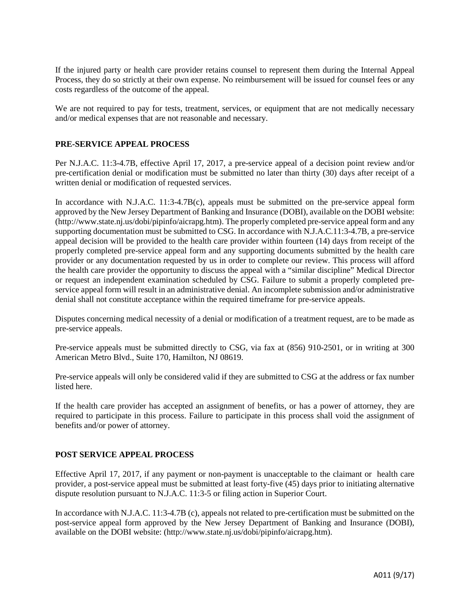If the injured party or health care provider retains counsel to represent them during the Internal Appeal Process, they do so strictly at their own expense. No reimbursement will be issued for counsel fees or any costs regardless of the outcome of the appeal.

We are not required to pay for tests, treatment, services, or equipment that are not medically necessary and/or medical expenses that are not reasonable and necessary.

## **PRE-SERVICE APPEAL PROCESS**

Per N.J.A.C. 11:3-4.7B, effective April 17, 2017, a pre-service appeal of a decision point review and/or pre-certification denial or modification must be submitted no later than thirty (30) days after receipt of a written denial or modification of requested services.

In accordance with N.J.A.C. 11:3-4.7B(c), appeals must be submitted on the pre-service appeal form approved by the New Jersey Department of Banking and Insurance (DOBI), available on the DOBI website: (http://www.state.nj.us/dobi/pipinfo/aicrapg.htm). The properly completed pre-service appeal form and any supporting documentation must be submitted to CSG. In accordance with N.J.A.C.11:3-4.7B, a pre-service appeal decision will be provided to the health care provider within fourteen (14) days from receipt of the properly completed pre-service appeal form and any supporting documents submitted by the health care provider or any documentation requested by us in order to complete our review. This process will afford the health care provider the opportunity to discuss the appeal with a "similar discipline" Medical Director or request an independent examination scheduled by CSG. Failure to submit a properly completed preservice appeal form will result in an administrative denial. An incomplete submission and/or administrative denial shall not constitute acceptance within the required timeframe for pre-service appeals.

Disputes concerning medical necessity of a denial or modification of a treatment request, are to be made as pre-service appeals.

Pre-service appeals must be submitted directly to CSG, via fax at (856) 910-2501, or in writing at 300 American Metro Blvd., Suite 170, Hamilton, NJ 08619.

Pre-service appeals will only be considered valid if they are submitted to CSG at the address or fax number listed here.

If the health care provider has accepted an assignment of benefits, or has a power of attorney, they are required to participate in this process. Failure to participate in this process shall void the assignment of benefits and/or power of attorney.

## **POST SERVICE APPEAL PROCESS**

Effective April 17, 2017, if any payment or non-payment is unacceptable to the claimant or health care provider, a post-service appeal must be submitted at least forty-five (45) days prior to initiating alternative dispute resolution pursuant to N.J.A.C. 11:3-5 or filing action in Superior Court.

In accordance with N.J.A.C. 11:3-4.7B (c), appeals not related to pre-certification must be submitted on the post-service appeal form approved by the New Jersey Department of Banking and Insurance (DOBI), available on the DOBI website: (http://www.state.nj.us/dobi/pipinfo/aicrapg.htm).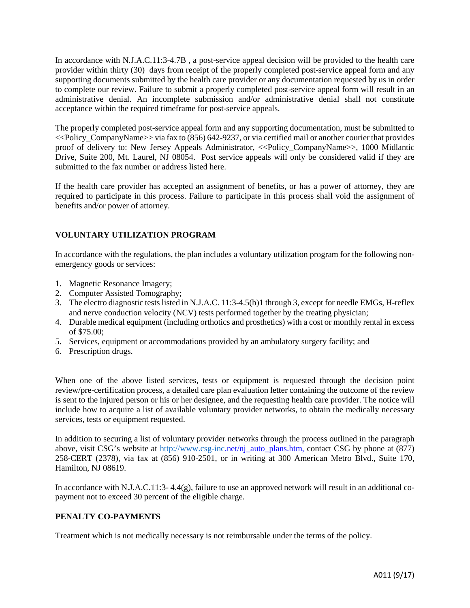In accordance with N.J.A.C.11:3-4.7B , a post-service appeal decision will be provided to the health care provider within thirty (30) days from receipt of the properly completed post-service appeal form and any supporting documents submitted by the health care provider or any documentation requested by us in order to complete our review. Failure to submit a properly completed post-service appeal form will result in an administrative denial. An incomplete submission and/or administrative denial shall not constitute acceptance within the required timeframe for post-service appeals.

The properly completed post-service appeal form and any supporting documentation, must be submitted to  $\ll$ Policy CompanyName>> via fax to (856) 642-9237, or via certified mail or another courier that provides proof of delivery to: New Jersey Appeals Administrator, <<Policy CompanyName>>, 1000 Midlantic Drive, Suite 200, Mt. Laurel, NJ 08054. Post service appeals will only be considered valid if they are submitted to the fax number or address listed here.

If the health care provider has accepted an assignment of benefits, or has a power of attorney, they are required to participate in this process. Failure to participate in this process shall void the assignment of benefits and/or power of attorney.

# **VOLUNTARY UTILIZATION PROGRAM**

In accordance with the regulations, the plan includes a voluntary utilization program for the following nonemergency goods or services:

- 1. Magnetic Resonance Imagery;
- 2. Computer Assisted Tomography;
- 3. The electro diagnostic tests listed in N.J.A.C. 11:3-4.5(b)1 through 3, except for needle EMGs, H-reflex and nerve conduction velocity (NCV) tests performed together by the treating physician;
- 4. Durable medical equipment (including orthotics and prosthetics) with a cost or monthly rental in excess of \$75.00;
- 5. Services, equipment or accommodations provided by an ambulatory surgery facility; and
- 6. Prescription drugs.

When one of the above listed services, tests or equipment is requested through the decision point review/pre-certification process, a detailed care plan evaluation letter containing the outcome of the review is sent to the injured person or his or her designee, and the requesting health care provider. The notice will include how to acquire a list of available voluntary provider networks, to obtain the medically necessary services, tests or equipment requested.

In addition to securing a list of voluntary provider networks through the process outlined in the paragraph above, visit CSG's website at [http://www.csg-inc.](http://www.csg-inc/)net/nj\_auto\_plans.htm, contact CSG by phone at (877) 258-CERT (2378), via fax at (856) 910-2501, or in writing at 300 American Metro Blvd., Suite 170, Hamilton, NJ 08619.

In accordance with N.J.A.C.11:3- 4.4(g), failure to use an approved network will result in an additional copayment not to exceed 30 percent of the eligible charge.

# **PENALTY CO-PAYMENTS**

Treatment which is not medically necessary is not reimbursable under the terms of the policy.